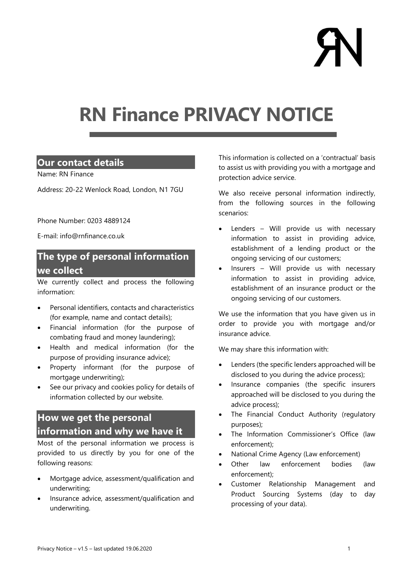# RN Finance PRIVACY NOTICE

## Our contact details

Name: RN Finance

Address: 20-22 Wenlock Road, London, N1 7GU

Phone Number: 0203 4889124

E-mail: info@rnfinance.co.uk

# The type of personal information we collect

We currently collect and process the following information:

- Personal identifiers, contacts and characteristics (for example, name and contact details);
- Financial information (for the purpose of combating fraud and money laundering);
- Health and medical information (for the purpose of providing insurance advice);
- Property informant (for the purpose of mortgage underwriting);
- See our privacy and cookies policy for details of information collected by our website.

# How we get the personal information and why we have it

Most of the personal information we process is provided to us directly by you for one of the following reasons:

- Mortgage advice, assessment/qualification and underwriting;
- Insurance advice, assessment/qualification and underwriting.

This information is collected on a 'contractual' basis to assist us with providing you with a mortgage and protection advice service.

We also receive personal information indirectly, from the following sources in the following scenarios:

- Lenders Will provide us with necessary information to assist in providing advice, establishment of a lending product or the ongoing servicing of our customers;
- Insurers Will provide us with necessary information to assist in providing advice, establishment of an insurance product or the ongoing servicing of our customers.

We use the information that you have given us in order to provide you with mortgage and/or insurance advice.

We may share this information with:

- Lenders (the specific lenders approached will be disclosed to you during the advice process);
- Insurance companies (the specific insurers approached will be disclosed to you during the advice process);
- The Financial Conduct Authority (regulatory purposes);
- The Information Commissioner's Office (law enforcement);
- National Crime Agency (Law enforcement)
- Other law enforcement bodies (law enforcement);
- Customer Relationship Management and Product Sourcing Systems (day to day processing of your data).